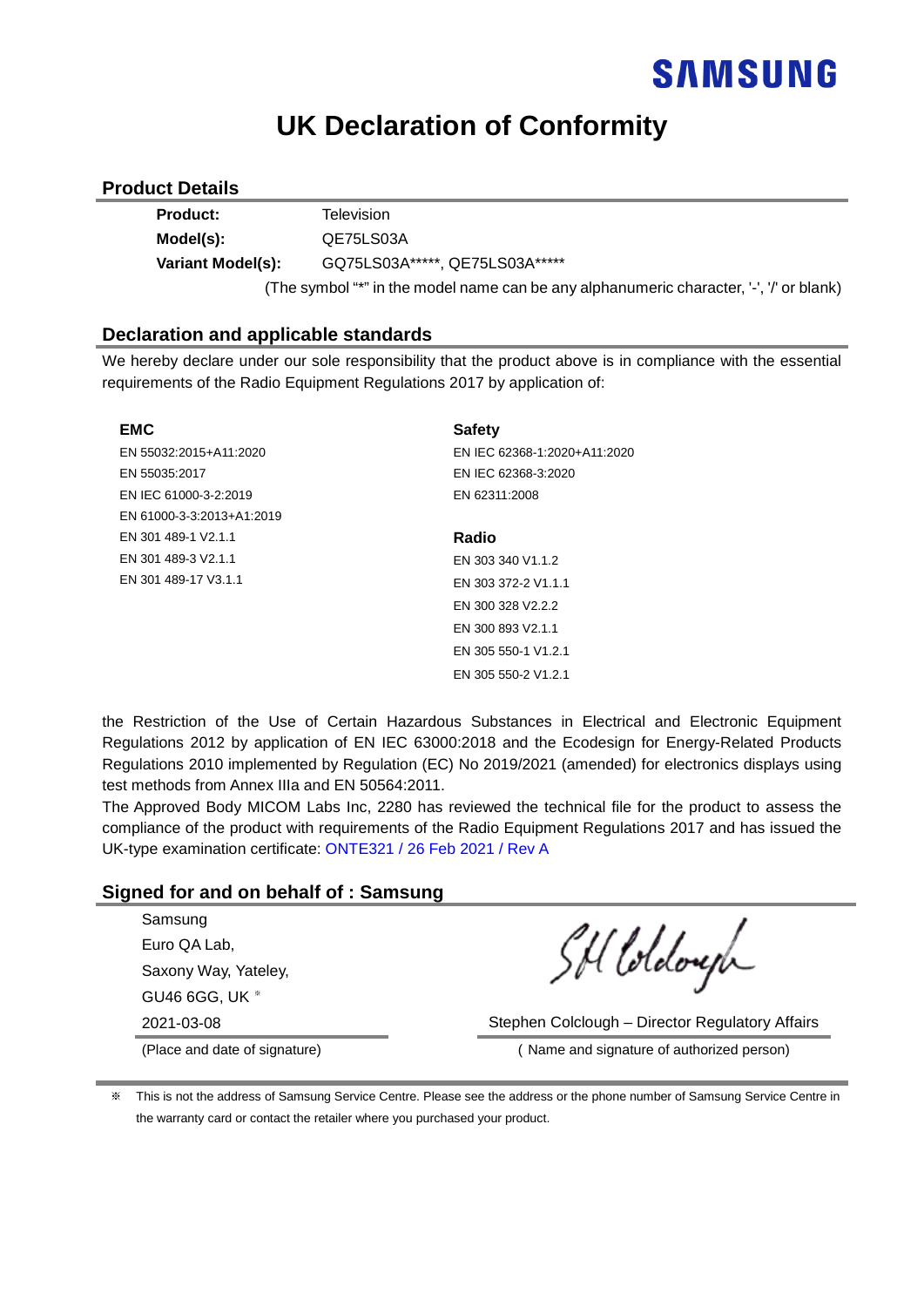### **UK Declaration of Conformity**

#### **Product Details**

| <b>Product:</b>   | Television                                                                              |
|-------------------|-----------------------------------------------------------------------------------------|
| Model(s):         | QE75LS03A                                                                               |
| Variant Model(s): | GQ75LS03A*****, QE75LS03A*****                                                          |
|                   | (The symbol "*" in the model name can be any alphanumeric character, '-', '/' or blank) |

#### **Declaration and applicable standards**

We hereby declare under our sole responsibility that the product above is in compliance with the essential requirements of the Radio Equipment Regulations 2017 by application of:

| <b>EMC</b>                | <b>Safety</b>                |
|---------------------------|------------------------------|
| EN 55032:2015+A11:2020    | EN IEC 62368-1:2020+A11:2020 |
| EN 55035:2017             | EN IEC 62368-3:2020          |
| EN IEC 61000-3-2:2019     | EN 62311:2008                |
| EN 61000-3-3:2013+A1:2019 |                              |
| EN 301 489-1 V2.1.1       | Radio                        |
| EN 301 489-3 V2.1.1       | EN 303 340 V1.1.2            |
| EN 301 489-17 V3.1.1      | EN 303 372-2 V1.1.1          |
|                           | EN 300 328 V2.2.2            |
|                           | EN 300 893 V2.1.1            |
|                           | EN 305 550-1 V1.2.1          |
|                           | EN 305 550-2 V1.2.1          |

the Restriction of the Use of Certain Hazardous Substances in Electrical and Electronic Equipment Regulations 2012 by application of EN IEC 63000:2018 and the Ecodesign for Energy-Related Products Regulations 2010 implemented by Regulation (EC) No 2019/2021 (amended) for electronics displays using test methods from Annex IIIa and EN 50564:2011.

The Approved Body MICOM Labs Inc, 2280 has reviewed the technical file for the product to assess the compliance of the product with requirements of the Radio Equipment Regulations 2017 and has issued the UK-type examination certificate: ONTE321 / 26 Feb 2021 / Rev A

### **Signed for and on behalf of : Samsung**

| Samsung              |  |
|----------------------|--|
| Euro QA Lab,         |  |
| Saxony Way, Yateley, |  |
| GU46 6GG, UK *       |  |
|                      |  |

SH loldough

2021-03-08 Stephen Colclough – Director Regulatory Affairs

(Place and date of signature) ( Name and signature of authorized person)

※ This is not the address of Samsung Service Centre. Please see the address or the phone number of Samsung Service Centre in the warranty card or contact the retailer where you purchased your product.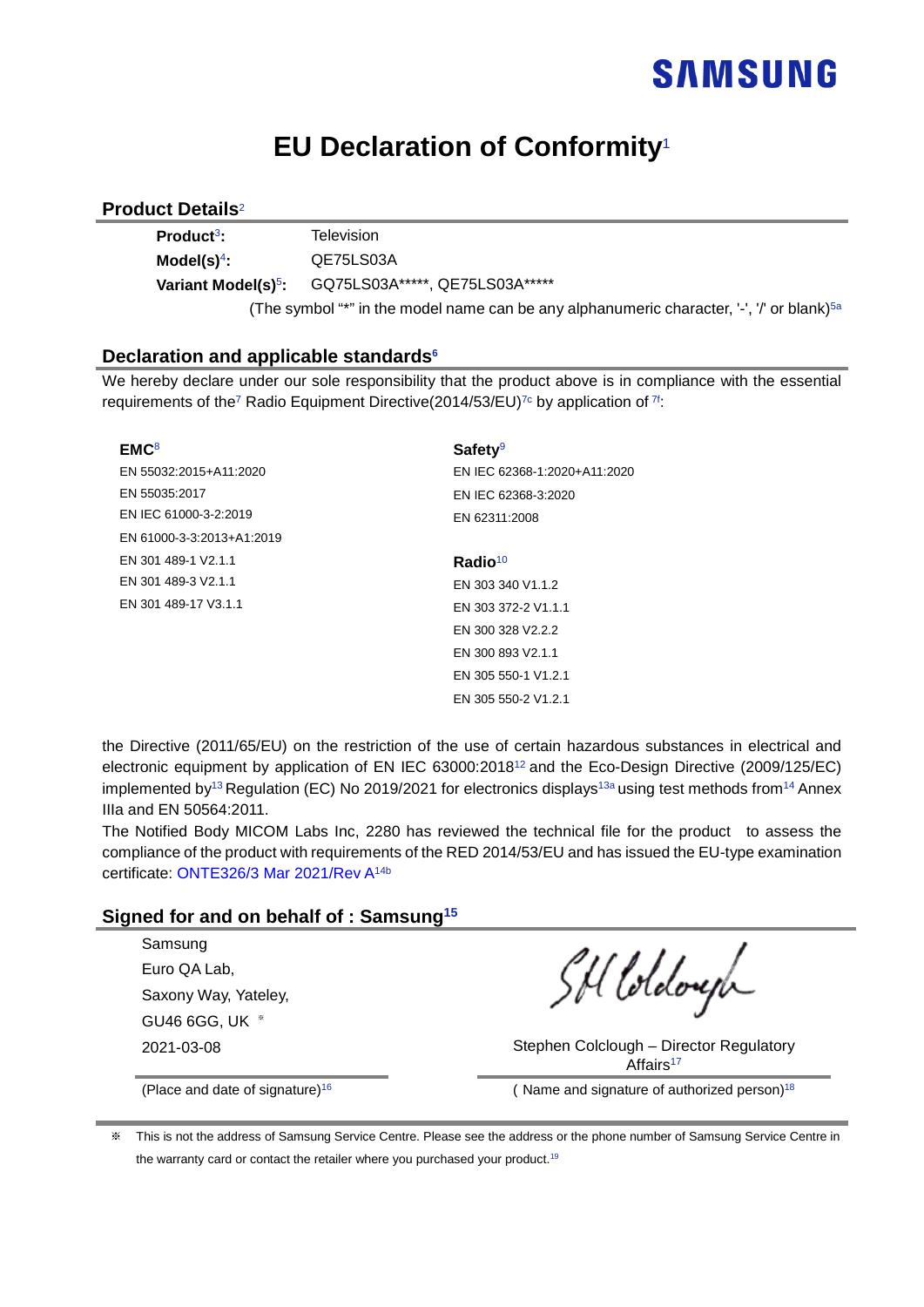### **EU Declaration of Conformity**<sup>1</sup>

### **Product Details**<sup>2</sup>

| Product <sup>3</sup> :          | Television                                                                                            |
|---------------------------------|-------------------------------------------------------------------------------------------------------|
| Model(s) $4$ :                  | QE75LS03A                                                                                             |
| Variant Model(s) <sup>5</sup> : | GQ75LS03A*****, QE75LS03A*****                                                                        |
|                                 | (The symbol "*" in the model name can be any alphanumeric character, '-', '/' or blank) <sup>5a</sup> |

### **Declaration and applicable standards6**

We hereby declare under our sole responsibility that the product above is in compliance with the essential requirements of the<sup>7</sup> Radio Equipment Directive(2014/53/EU)<sup>7c</sup> by application of <sup>7f</sup>:

| EMC <sup>8</sup>          | Safety <sup>9</sup>          |  |  |
|---------------------------|------------------------------|--|--|
| EN 55032:2015+A11:2020    | EN IEC 62368-1:2020+A11:2020 |  |  |
| EN 55035:2017             | EN IEC 62368-3:2020          |  |  |
| EN IEC 61000-3-2:2019     | EN 62311:2008                |  |  |
| EN 61000-3-3:2013+A1:2019 |                              |  |  |
| EN 301 489-1 V2.1.1       | Radio <sup>10</sup>          |  |  |
| EN 301 489-3 V2.1.1       | EN 303 340 V1.1.2            |  |  |
| EN 301 489-17 V3.1.1      | EN 303 372-2 V1.1.1          |  |  |
|                           | FN 300 328 V2.2.2            |  |  |
|                           | EN 300 893 V2.1.1            |  |  |
|                           | EN 305 550-1 V1.2.1          |  |  |
|                           | EN 305 550-2 V1.2.1          |  |  |

the Directive (2011/65/EU) on the restriction of the use of certain hazardous substances in electrical and electronic equipment by application of EN IEC 63000:201812 and the Eco-Design Directive (2009/125/EC) implemented by<sup>13</sup> Regulation (EC) No 2019/2021 for electronics displays<sup>13a</sup> using test methods from<sup>14</sup> Annex IIIa and EN 50564:2011.

The Notified Body MICOM Labs Inc, 2280 has reviewed the technical file for the product to assess the compliance of the product with requirements of the RED 2014/53/EU and has issued the EU-type examination certificate: ONTE326/3 Mar 2021/Rev A14b

### **Signed for and on behalf of : Samsung15**

| Samsung                             |
|-------------------------------------|
| Euro QA Lab.                        |
| Saxony Way, Yateley,                |
| <b>GU46 6GG, UK</b><br>$\mathbb{X}$ |
| 2021-03-08                          |

SH loldough

Stephen Colclough – Director Regulatory Affairs<sup>17</sup>

(Place and date of signature)<sup>16</sup> (Name and signature of authorized person)<sup>18</sup>

This is not the address of Samsung Service Centre. Please see the address or the phone number of Samsung Service Centre in the warranty card or contact the retailer where you purchased your product.<sup>19</sup>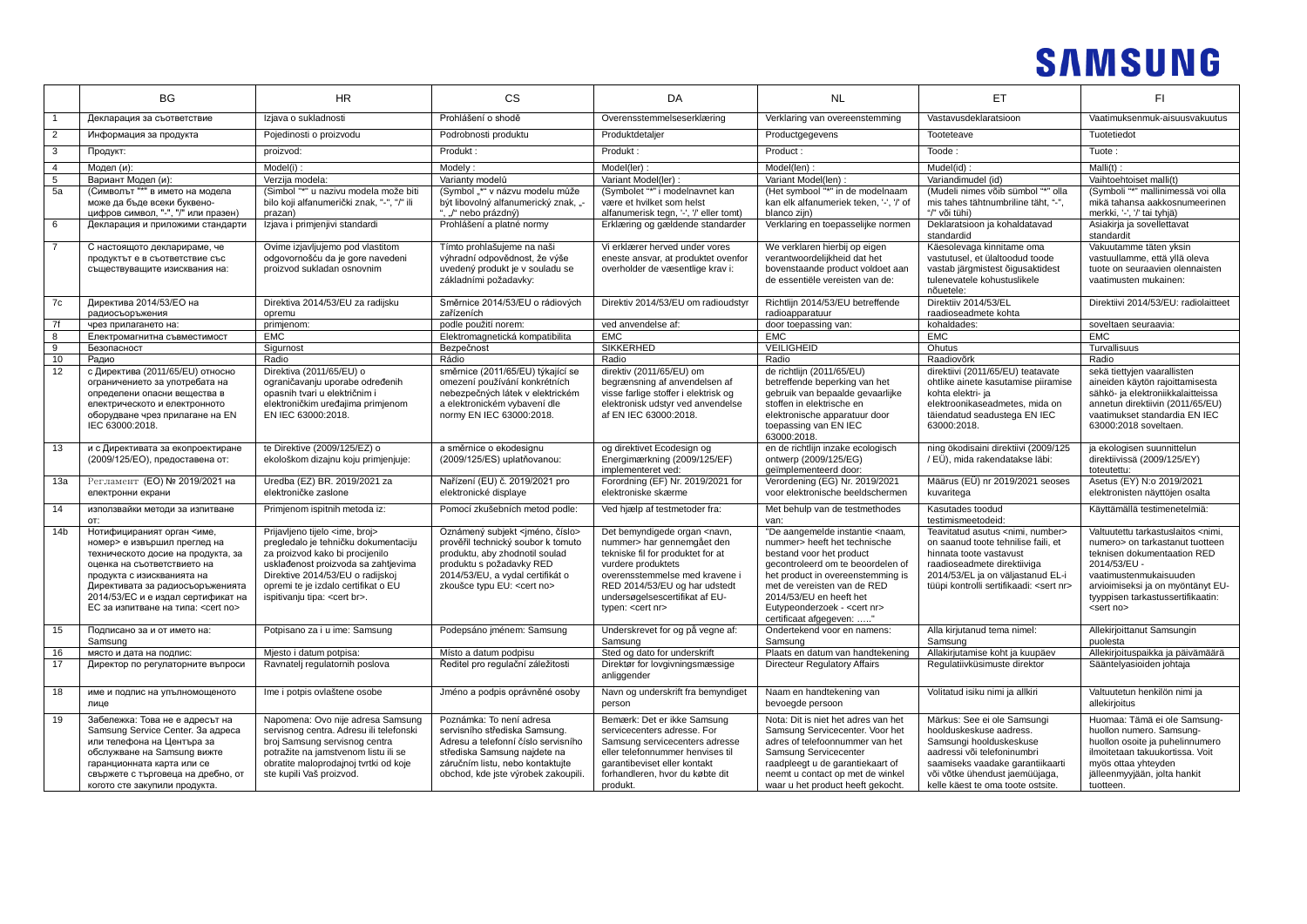|                 | <b>BG</b>                           | <b>HR</b>                                  | <b>CS</b>                                   | DA                                                                                                                                                                                                                     | <b>NL</b>                                                                                                                                                        | ET                                                | FI.                                                 |
|-----------------|-------------------------------------|--------------------------------------------|---------------------------------------------|------------------------------------------------------------------------------------------------------------------------------------------------------------------------------------------------------------------------|------------------------------------------------------------------------------------------------------------------------------------------------------------------|---------------------------------------------------|-----------------------------------------------------|
|                 | Декларация за съответствие          | Izjava o sukladnosti                       | Prohlášení o shodě                          | Overensstemmelseserklæring                                                                                                                                                                                             | Verklaring van overeenstemming                                                                                                                                   | Vastavusdeklaratsioon                             | Vaatimuksenmuk-aisuusvakuutus                       |
| $\overline{2}$  | Информация за продукта              | Pojedinosti o proizvodu                    | Podrobnosti produktu                        | Produktdetaljer                                                                                                                                                                                                        | Productgegevens                                                                                                                                                  | Tooteteave                                        | Tuotetiedot                                         |
| 3               | Продукт:                            | proizvod:                                  | Produkt:                                    | Produkt:                                                                                                                                                                                                               | Product:                                                                                                                                                         | Toode:                                            | Tuote:                                              |
| $\overline{4}$  | Модел (и):                          | Model(i):                                  | Modely:                                     | Model(ler)                                                                                                                                                                                                             | Model(len)                                                                                                                                                       | Mudel(id)                                         | $Malli(t)$ :                                        |
| 5               | Вариант Модел (и):                  | Verzija modela:                            | Varianty modelů                             | Variant Model(ler):                                                                                                                                                                                                    | Variant Model(len)                                                                                                                                               | Variandimudel (id)                                | Vaihtoehtoiset malli(t)                             |
| 5a              | (Символът "*" в името на модела     | (Simbol "*" u nazivu modela može biti      | (Symbol "*" v názvu modelu může             | (Symbolet "*" i modelnavnet kan                                                                                                                                                                                        | (Het symbool "*" in de modelnaam                                                                                                                                 | (Mudeli nimes võib sümbol "*" olla                | (Symboli "*" mallinimessä voi olla                  |
|                 | може да бъде всеки буквено-         | bilo koji alfanumerički znak, "-", "/" ili | být libovolný alfanumerický znak, "-        | være et hvilket som helst                                                                                                                                                                                              | kan elk alfanumeriek teken, '-', '/' of                                                                                                                          | mis tahes tähtnumbriline täht, "-",               | mikä tahansa aakkosnumeerinen                       |
|                 | цифров символ, "-", "/" или празен) | prazan)                                    | ", "/" nebo prázdný)                        | alfanumerisk tegn, '-', '/' eller tomt)                                                                                                                                                                                | blanco zijn)                                                                                                                                                     | "/" või tühi)                                     | merkki, '-', '/' tai tyhjä)                         |
| 6               | Декларация и приложими стандарти    | Izjava i primjenjivi standardi             | Prohlášení a platné normy                   | Erklæring og gældende standarder                                                                                                                                                                                       | Verklaring en toepasselijke normen                                                                                                                               | Deklaratsioon ja kohaldatavad<br>standardid       | Asiakirja ja sovellettavat<br>standardit            |
| $\overline{7}$  | С настоящото декларираме, че        | Ovime izjavljujemo pod vlastitom           | Tímto prohlašujeme na naši                  | Vi erklærer herved under vores                                                                                                                                                                                         | We verklaren hierbij op eigen                                                                                                                                    | Käesolevaga kinnitame oma                         | Vakuutamme täten yksin                              |
|                 | продуктът е в съответствие със      | odgovornošću da je gore navedeni           | výhradní odpovědnost, že výše               | eneste ansvar, at produktet ovenfor                                                                                                                                                                                    | verantwoordelijkheid dat het                                                                                                                                     | vastutusel, et ülaltoodud toode                   | vastuullamme, että yllä oleva                       |
|                 | съществуващите изисквания на:       | proizvod sukladan osnovnim                 | uvedený produkt je v souladu se             | overholder de væsentlige krav i:                                                                                                                                                                                       | bovenstaande product voldoet aan                                                                                                                                 | vastab järgmistest õigusaktidest                  | tuote on seuraavien olennaisten                     |
|                 |                                     |                                            | základními požadavky:                       |                                                                                                                                                                                                                        | de essentiële vereisten van de:                                                                                                                                  | tulenevatele kohustuslikele                       | vaatimusten mukainen:                               |
|                 |                                     |                                            |                                             |                                                                                                                                                                                                                        |                                                                                                                                                                  | nõuetele:                                         |                                                     |
| 7c              | Директива 2014/53/ЕО на             | Direktiva 2014/53/EU za radijsku           | Směrnice 2014/53/EU o rádiových             | Direktiv 2014/53/EU om radioudstyr                                                                                                                                                                                     | Richtlijn 2014/53/EU betreffende                                                                                                                                 | Direktiiv 2014/53/EL                              | Direktiivi 2014/53/EU: radiolaitteet                |
|                 | радиосъоръжения                     | opremu                                     | zařízeních                                  |                                                                                                                                                                                                                        | radioapparatuur                                                                                                                                                  | raadioseadmete kohta                              |                                                     |
| 7f              | чрез прилагането на                 | primjenom:                                 | podle použití norem:                        | ved anvendelse af:                                                                                                                                                                                                     | door toepassing van:                                                                                                                                             | kohaldades:                                       | soveltaen seuraavia:                                |
| 8               | Електромагнитна съвместимост        | <b>EMC</b>                                 | Elektromagnetická kompatibilita             | <b>EMC</b>                                                                                                                                                                                                             | <b>EMC</b>                                                                                                                                                       | <b>EMC</b>                                        | <b>EMC</b>                                          |
| 9               | Безопасност                         | Sigurnost                                  | Bezpečnost                                  | <b>SIKKERHED</b>                                                                                                                                                                                                       | <b>VEILIGHEID</b>                                                                                                                                                | Ohutus                                            | Turvallisuus                                        |
| 10              | Радио                               | Radio                                      | Rádio                                       | Radio                                                                                                                                                                                                                  | Radio                                                                                                                                                            | Raadiovõrk                                        | Radio                                               |
| 12              | с Директива (2011/65/EU) относно    | Direktiva (2011/65/EU) o                   | směrnice (2011/65/EU) týkající se           | direktiv (2011/65/EU) om                                                                                                                                                                                               | de richtlijn (2011/65/EU)                                                                                                                                        | direktiivi (2011/65/EU) teatavate                 | sekä tiettyjen vaarallisten                         |
|                 | ограничението за употребата на      | ograničavanju uporabe određenih            | omezení používání konkrétních               | begrænsning af anvendelsen af                                                                                                                                                                                          | betreffende beperking van het                                                                                                                                    | ohtlike ainete kasutamise piiramise               | aineiden käytön rajoittamisesta                     |
|                 | определени опасни вещества в        | opasnih tvari u električnim i              | nebezpečných látek v elektrickém            | visse farlige stoffer i elektrisk og                                                                                                                                                                                   | gebruik van bepaalde gevaarlijke                                                                                                                                 | kohta elektri- ja                                 | sähkö- ja elektroniikkalaitteissa                   |
|                 | електрическото и електронното       | elektroničkim uređajima primjenom          | a elektronickém vybavení dle                | elektronisk udstyr ved anvendelse                                                                                                                                                                                      | stoffen in elektrische en                                                                                                                                        | elektroonikaseadmetes, mida on                    | annetun direktiivin (2011/65/EU)                    |
|                 | оборудване чрез прилагане на EN     | EN IEC 63000:2018.                         | normy EN IEC 63000:2018.                    | af EN IEC 63000:2018.                                                                                                                                                                                                  | elektronische apparatuur door                                                                                                                                    | täiendatud seadustega EN IEC                      | vaatimukset standardia EN IEC                       |
|                 | IEC 63000:2018.                     |                                            |                                             |                                                                                                                                                                                                                        | toepassing van EN IEC                                                                                                                                            | 63000:2018.                                       | 63000:2018 soveltaen.                               |
|                 |                                     |                                            |                                             |                                                                                                                                                                                                                        | 63000:2018                                                                                                                                                       |                                                   |                                                     |
| 13              | и с Директивата за екопроектиране   | te Direktive (2009/125/EZ) o               | a směrnice o ekodesignu                     | og direktivet Ecodesign og                                                                                                                                                                                             | en de richtlijn inzake ecologisch                                                                                                                                | ning ökodisaini direktiivi (2009/125              | ja ekologisen suunnittelun                          |
|                 | (2009/125/ЕО), предоставена от:     | ekološkom dizajnu koju primjenjuje:        | (2009/125/ES) uplatňovanou:                 | Energimærkning (2009/125/EF)                                                                                                                                                                                           | ontwerp (2009/125/EG)                                                                                                                                            | / EÜ), mida rakendatakse läbi:                    | direktiivissä (2009/125/EY)                         |
|                 |                                     |                                            |                                             | implementeret ved:                                                                                                                                                                                                     | geïmplementeerd door:                                                                                                                                            |                                                   | toteutettu:                                         |
| 13a             | Регламент (ЕО) № 2019/2021 на       | Uredba (EZ) BR. 2019/2021 za               | Nařízení (EU) č. 2019/2021 pro              | Forordning (EF) Nr. 2019/2021 for                                                                                                                                                                                      | Verordening (EG) Nr. 2019/2021                                                                                                                                   | Määrus (EÜ) nr 2019/2021 seoses                   | Asetus (EY) N:o 2019/2021                           |
|                 | електронни екрани                   | elektroničke zaslone                       | elektronické displaye                       | elektroniske skærme                                                                                                                                                                                                    | voor elektronische beeldschermen                                                                                                                                 | kuvaritega                                        | elektronisten näyttöjen osalta                      |
| 14              | използвайки методи за изпитване     | Primjenom ispitnih metoda iz:              | Pomocí zkušebních metod podle:              | Ved hiælp af testmetoder fra:                                                                                                                                                                                          | Met behulp van de testmethodes                                                                                                                                   | Kasutades toodud                                  | Käyttämällä testimenetelmiä:                        |
|                 | OT:                                 |                                            |                                             |                                                                                                                                                                                                                        | van:                                                                                                                                                             | testimismeetodeid:                                |                                                     |
| 14 <sub>b</sub> | Нотифицираният орган <име,          | Prijavljeno tijelo <ime, broj=""></ime,>   | Oznámený subjekt <jméno, číslo=""></jméno,> | Det bemyndigede organ <navn,< td=""><td>"De aangemelde instantie <naam,< td=""><td>Teavitatud asutus <nimi, number=""></nimi,></td><td>Valtuutettu tarkastuslaitos <nimi,< td=""></nimi,<></td></naam,<></td></navn,<> | "De aangemelde instantie <naam,< td=""><td>Teavitatud asutus <nimi, number=""></nimi,></td><td>Valtuutettu tarkastuslaitos <nimi,< td=""></nimi,<></td></naam,<> | Teavitatud asutus <nimi, number=""></nimi,>       | Valtuutettu tarkastuslaitos <nimi,< td=""></nimi,<> |
|                 | номер> е извършил преглед на        | pregledalo je tehničku dokumentaciju       | prověřil technický soubor k tomuto          | nummer> har gennemgået den                                                                                                                                                                                             | nummer> heeft het technische                                                                                                                                     | on saanud toote tehnilise faili, et               | numero> on tarkastanut tuotteen                     |
|                 | техническото досие на продукта, за  | za proizvod kako bi procijenilo            | produktu, aby zhodnotil soulad              | tekniske fil for produktet for at                                                                                                                                                                                      | bestand voor het product                                                                                                                                         | hinnata toote vastavust                           | teknisen dokumentaation RED                         |
|                 | оценка на съответствието на         | usklađenost proizvoda sa zahtjevima        | produktu s požadavky RED                    | vurdere produktets                                                                                                                                                                                                     | gecontroleerd om te beoordelen of                                                                                                                                | raadioseadmete direktiiviga                       | 2014/53/EU -                                        |
|                 | продукта с изискванията на          | Direktive 2014/53/EU o radijskoj           | 2014/53/EU, a vydal certifikát o            | overensstemmelse med kravene i                                                                                                                                                                                         | het product in overeenstemming is                                                                                                                                | 2014/53/EL ja on väljastanud EL-i                 | vaatimustenmukaisuuden                              |
|                 | Директивата за радиосъоръженията    | opremi te je izdalo certifikat o EU        | zkoušce typu EU: < cert no>                 | RED 2014/53/EU og har udstedt                                                                                                                                                                                          | met de vereisten van de RED                                                                                                                                      | tüüpi kontrolli sertifikaadi: <sert nr=""></sert> | arvioimiseksi ja on myöntänyt EU-                   |
|                 | 2014/53/ЕС и е издал сертификат на  | ispitivanju tipa: < cert br>.              |                                             | undersøgelsescertifikat af EU-                                                                                                                                                                                         | 2014/53/EU en heeft het                                                                                                                                          |                                                   | tyyppisen tarkastussertifikaatin:                   |
|                 | ЕС за изпитване на типа: < cert no> |                                            |                                             | typen: < cert nr>                                                                                                                                                                                                      | Eutypeonderzoek - <cert nr=""></cert>                                                                                                                            |                                                   | <sert no=""></sert>                                 |
|                 |                                     |                                            |                                             |                                                                                                                                                                                                                        | certificaat afgegeven: "                                                                                                                                         |                                                   |                                                     |
| 15              | Подписано за и от името на:         | Potpisano za i u ime: Samsung              | Podepsáno jménem: Samsung                   | Underskrevet for og på vegne af:                                                                                                                                                                                       | Ondertekend voor en namens:                                                                                                                                      | Alla kirjutanud tema nimel:                       | Allekirjoittanut Samsungin                          |
|                 | Samsung                             |                                            |                                             | Samsung                                                                                                                                                                                                                | Samsung                                                                                                                                                          | Samsung                                           | puolesta                                            |
| 16              | място и дата на подпис:             | Mjesto i datum potpisa:                    | Místo a datum podpisu                       | Sted og dato for underskrift                                                                                                                                                                                           | Plaats en datum van handtekening                                                                                                                                 | Allakirjutamise koht ja kuupäev                   | Allekirjoituspaikka ja päivämäärä                   |
| 17              | Директор по регулаторните въпроси   | Ravnatelj regulatornih poslova             | Ředitel pro regulační záležitosti           | Direktør for lovgivningsmæssige                                                                                                                                                                                        | Directeur Regulatory Affairs                                                                                                                                     | Regulatiivküsimuste direktor                      | Sääntelyasioiden johtaja                            |
|                 |                                     |                                            |                                             | anliggender                                                                                                                                                                                                            |                                                                                                                                                                  |                                                   |                                                     |
|                 |                                     |                                            |                                             |                                                                                                                                                                                                                        |                                                                                                                                                                  |                                                   |                                                     |
| 18              | име и подпис на упълномощеното      | Ime i potpis ovlaštene osobe               | Jméno a podpis oprávněné osoby              | Navn og underskrift fra bemyndiget                                                                                                                                                                                     | Naam en handtekening van                                                                                                                                         | Volitatud isiku nimi ja allkiri                   | Valtuutetun henkilön nimi ja                        |
|                 | лице                                |                                            |                                             | person                                                                                                                                                                                                                 | bevoegde persoon                                                                                                                                                 |                                                   | allekirjoitus                                       |
| 19              | Забележка: Това не е адресът на     | Napomena: Ovo nije adresa Samsung          | Poznámka: To není adresa                    | Bemærk: Det er ikke Samsung                                                                                                                                                                                            | Nota: Dit is niet het adres van het                                                                                                                              | Märkus: See ei ole Samsungi                       | Huomaa: Tämä ei ole Samsung-                        |
|                 | Samsung Service Center. За адреса   | servisnog centra. Adresu ili telefonski    | servisního střediska Samsung.               | servicecenters adresse. For                                                                                                                                                                                            | Samsung Servicecenter. Voor het                                                                                                                                  | hoolduskeskuse aadress.                           | huollon numero. Samsung-                            |
|                 | или телефона на Центъра за          | broj Samsung servisnog centra              | Adresu a telefonní číslo servisního         | Samsung servicecenters adresse                                                                                                                                                                                         | adres of telefoonnummer van het                                                                                                                                  | Samsungi hoolduskeskuse                           | huollon osoite ja puhelinnumero                     |
|                 | обслужване на Samsung вижте         | potražite na jamstvenom listu ili se       | střediska Samsung najdete na                | eller telefonnummer henvises til                                                                                                                                                                                       | Samsung Servicecenter                                                                                                                                            | aadressi või telefoninumbri                       | ilmoitetaan takuukortissa. Voit                     |
|                 | гаранционната карта или се          | obratite maloprodajnoj tvrtki od koje      | záručním listu, nebo kontaktujte            | garantibeviset eller kontakt                                                                                                                                                                                           | raadpleegt u de garantiekaart of                                                                                                                                 | saamiseks vaadake garantiikaarti                  | myös ottaa yhteyden                                 |
|                 | свържете с търговеца на дребно, от  | ste kupili Vaš proizvod.                   | obchod, kde jste výrobek zakoupili.         | forhandleren, hvor du købte dit                                                                                                                                                                                        | neemt u contact op met de winkel                                                                                                                                 | või võtke ühendust jaemüüjaga,                    | jälleenmyyjään, jolta hankit                        |
|                 | когото сте закупили продукта.       |                                            |                                             | produkt.                                                                                                                                                                                                               | waar u het product heeft gekocht.                                                                                                                                | kelle käest te oma toote ostsite.                 | tuotteen.                                           |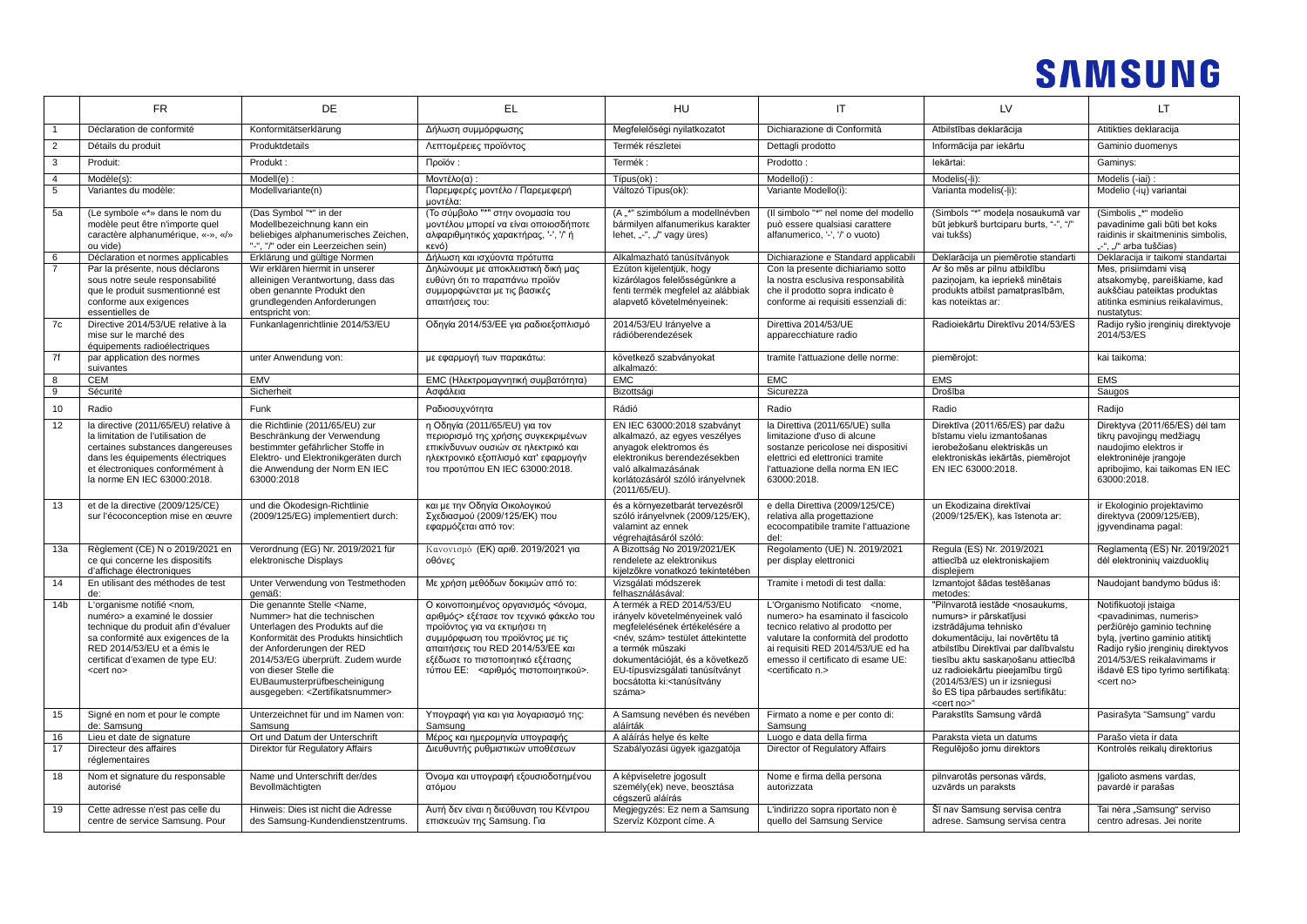|                 | FR                                                                                                                                                                                                                                               | DE                                                                                                                                                                                                                                                                                                                                           | EL                                                                                                                                                                                                                                                                   | HU                                                                                                                                                                                                                                                                                                    |                                                                                                                                                                                                                                                                                  | LV                                                                                                                                                                                                                                                                                                                                                                 | LT                                                                                                                                                                                                                                                                         |
|-----------------|--------------------------------------------------------------------------------------------------------------------------------------------------------------------------------------------------------------------------------------------------|----------------------------------------------------------------------------------------------------------------------------------------------------------------------------------------------------------------------------------------------------------------------------------------------------------------------------------------------|----------------------------------------------------------------------------------------------------------------------------------------------------------------------------------------------------------------------------------------------------------------------|-------------------------------------------------------------------------------------------------------------------------------------------------------------------------------------------------------------------------------------------------------------------------------------------------------|----------------------------------------------------------------------------------------------------------------------------------------------------------------------------------------------------------------------------------------------------------------------------------|--------------------------------------------------------------------------------------------------------------------------------------------------------------------------------------------------------------------------------------------------------------------------------------------------------------------------------------------------------------------|----------------------------------------------------------------------------------------------------------------------------------------------------------------------------------------------------------------------------------------------------------------------------|
|                 | Déclaration de conformité                                                                                                                                                                                                                        | Konformitätserklärung                                                                                                                                                                                                                                                                                                                        | Δήλωση συμμόρφωσης                                                                                                                                                                                                                                                   | Megfelelőségi nyilatkozatot                                                                                                                                                                                                                                                                           | Dichiarazione di Conformità                                                                                                                                                                                                                                                      | Atbilstības deklarācija                                                                                                                                                                                                                                                                                                                                            | Atitikties deklaracija                                                                                                                                                                                                                                                     |
| $\overline{2}$  | Détails du produit                                                                                                                                                                                                                               | Produktdetails                                                                                                                                                                                                                                                                                                                               | Λεπτομέρειες προϊόντος                                                                                                                                                                                                                                               | Termék részletei                                                                                                                                                                                                                                                                                      | Dettagli prodotto                                                                                                                                                                                                                                                                | Informācija par iekārtu                                                                                                                                                                                                                                                                                                                                            | Gaminio duomenys                                                                                                                                                                                                                                                           |
| $\overline{3}$  | Produit:                                                                                                                                                                                                                                         | Produkt:                                                                                                                                                                                                                                                                                                                                     | Προϊόν:                                                                                                                                                                                                                                                              | Termék:                                                                                                                                                                                                                                                                                               | Prodotto:                                                                                                                                                                                                                                                                        | lekārtai:                                                                                                                                                                                                                                                                                                                                                          | Gaminys:                                                                                                                                                                                                                                                                   |
| $\overline{4}$  | Modèle(s):                                                                                                                                                                                                                                       | Modell(e)                                                                                                                                                                                                                                                                                                                                    | Μοντέλο(α)                                                                                                                                                                                                                                                           | Típus(ok)                                                                                                                                                                                                                                                                                             | Modello(i)                                                                                                                                                                                                                                                                       | Modelis(-li)                                                                                                                                                                                                                                                                                                                                                       | Modelis (-iai) :                                                                                                                                                                                                                                                           |
| $5\phantom{.0}$ | Variantes du modèle:                                                                                                                                                                                                                             | Modellvariante(n)                                                                                                                                                                                                                                                                                                                            | Παρεμφερές μοντέλο / Παρεμεφερή<br>μοντέλα:                                                                                                                                                                                                                          | Változó Típus(ok):                                                                                                                                                                                                                                                                                    | Variante Modello(i):                                                                                                                                                                                                                                                             | Varianta modelis(-li):                                                                                                                                                                                                                                                                                                                                             | Modelio (-iu) variantai                                                                                                                                                                                                                                                    |
| 5a              | (Le symbole «*» dans le nom du<br>modèle peut être n'importe quel<br>caractère alphanumérique, «-», «/»<br>ou vide)                                                                                                                              | (Das Symbol "*" in der<br>Modellbezeichnung kann ein<br>beliebiges alphanumerisches Zeichen,<br>"-", "/" oder ein Leerzeichen sein)                                                                                                                                                                                                          | (Το σύμβολο "*" στην ονομασία του<br>μοντέλου μπορεί να είναι οποιοσδήποτε<br>αλφαριθμητικός χαρακτήρας, '-', '/' ή<br>κενό)                                                                                                                                         | (A "*" szimbólum a modellnévben<br>bármilyen alfanumerikus karakter<br>lehet, "-", "/" vagy üres)                                                                                                                                                                                                     | (Il simbolo "*" nel nome del modello<br>può essere qualsiasi carattere<br>alfanumerico, '-', '/' o vuoto)                                                                                                                                                                        | (Simbols "*" modela nosaukumā var<br>būt jebkurš burtciparu burts, "-", "/"<br>vai tukšs)                                                                                                                                                                                                                                                                          | (Simbolis "*" modelio<br>pavadinime gali būti bet koks<br>raidinis ir skaitmeninis simbolis,<br>"-", "/" arba tuščias)                                                                                                                                                     |
| 6               | Déclaration et normes applicables                                                                                                                                                                                                                | Erklärung und gültige Normen                                                                                                                                                                                                                                                                                                                 | Δήλωση και ισχύοντα πρότυπα                                                                                                                                                                                                                                          | Alkalmazható tanúsítványok                                                                                                                                                                                                                                                                            | Dichiarazione e Standard applicabil                                                                                                                                                                                                                                              | Deklarācija un piemērotie standarti                                                                                                                                                                                                                                                                                                                                | Deklaracija ir taikomi standartai                                                                                                                                                                                                                                          |
| $\overline{7}$  | Par la présente, nous déclarons<br>sous notre seule responsabilité<br>que le produit susmentionné est<br>conforme aux exigences<br>essentielles de                                                                                               | Wir erklären hiermit in unserer<br>alleinigen Verantwortung, dass das<br>oben genannte Produkt den<br>grundlegenden Anforderungen<br>entspricht von:                                                                                                                                                                                         | Δηλώνουμε με αποκλειστική δική μας<br>ευθύνη ότι το παραπάνω προϊόν<br>συμμορφώνεται με τις βασικές<br>απαιτήσεις του:                                                                                                                                               | Ezúton kijelentjük, hogy<br>kizárólagos felelősségünkre a<br>fenti termék megfelel az alábbiak<br>alapvető követelményeinek:                                                                                                                                                                          | Con la presente dichiariamo sotto<br>la nostra esclusiva responsabilità<br>che il prodotto sopra indicato è<br>conforme ai requisiti essenziali di:                                                                                                                              | Ar šo mēs ar pilnu atbildību<br>pazinojam, ka iepriekš minētais<br>produkts atbilst pamatprasībām,<br>kas noteiktas ar:                                                                                                                                                                                                                                            | Mes, prisiimdami visa<br>atsakomybę, pareiškiame, kad<br>aukščiau pateiktas produktas<br>atitinka esminius reikalavimus,<br>nustatytus:                                                                                                                                    |
| 7c              | Directive 2014/53/UE relative à la<br>mise sur le marché des<br>équipements radioélectriques                                                                                                                                                     | Funkanlagenrichtlinie 2014/53/EU                                                                                                                                                                                                                                                                                                             | Οδηγία 2014/53/ΕΕ για ραδιοεξοπλισμό                                                                                                                                                                                                                                 | 2014/53/EU Irányelve a<br>rádióberendezések                                                                                                                                                                                                                                                           | Direttiva 2014/53/UE<br>apparecchiature radio                                                                                                                                                                                                                                    | Radioiekārtu Direktīvu 2014/53/ES                                                                                                                                                                                                                                                                                                                                  | Radijo ryšio įrenginių direktyvoje<br>2014/53/ES                                                                                                                                                                                                                           |
| 7f              | par application des normes<br>suivantes                                                                                                                                                                                                          | unter Anwendung von:                                                                                                                                                                                                                                                                                                                         | με εφαρμογή των παρακάτω:                                                                                                                                                                                                                                            | következő szabványokat<br>alkalmazó:                                                                                                                                                                                                                                                                  | tramite l'attuazione delle norme:                                                                                                                                                                                                                                                | piemērojot:                                                                                                                                                                                                                                                                                                                                                        | kai taikoma:                                                                                                                                                                                                                                                               |
| 8               | <b>CEM</b>                                                                                                                                                                                                                                       | <b>EMV</b>                                                                                                                                                                                                                                                                                                                                   | ΕΜΟ (Ηλεκτρομαγνητική συμβατότητα)                                                                                                                                                                                                                                   | <b>EMC</b>                                                                                                                                                                                                                                                                                            | <b>EMC</b>                                                                                                                                                                                                                                                                       | <b>EMS</b>                                                                                                                                                                                                                                                                                                                                                         | <b>EMS</b>                                                                                                                                                                                                                                                                 |
| 9               | Sécurité                                                                                                                                                                                                                                         | Sicherheit                                                                                                                                                                                                                                                                                                                                   | Ασφάλεια                                                                                                                                                                                                                                                             | Bizottsági                                                                                                                                                                                                                                                                                            | Sicurezza                                                                                                                                                                                                                                                                        | Drošība                                                                                                                                                                                                                                                                                                                                                            | Saugos                                                                                                                                                                                                                                                                     |
| 10              | Radio                                                                                                                                                                                                                                            | Funk                                                                                                                                                                                                                                                                                                                                         | Ραδιοσυχνότητα                                                                                                                                                                                                                                                       | Rádió                                                                                                                                                                                                                                                                                                 | Radio                                                                                                                                                                                                                                                                            | Radio                                                                                                                                                                                                                                                                                                                                                              | Radiio                                                                                                                                                                                                                                                                     |
| 12              | la directive (2011/65/EU) relative à<br>la limitation de l'utilisation de<br>certaines substances dangereuses<br>dans les équipements électriques<br>et électroniques conformément à<br>la norme EN IEC 63000:2018.                              | die Richtlinie (2011/65/EU) zur<br>Beschränkung der Verwendung<br>bestimmter gefährlicher Stoffe in<br>Elektro- und Elektronikgeräten durch<br>die Anwendung der Norm EN IEC<br>63000:2018                                                                                                                                                   | η Οδηγία (2011/65/EU) για τον<br>περιορισμό της χρήσης συγκεκριμένων<br>επικίνδυνων ουσιών σε ηλεκτρικό και<br>ηλεκτρονικό εξοπλισμό κατ' εφαρμογήν<br>του προτύπου ΕΝ ΙΕΟ 63000:2018.                                                                               | EN IEC 63000:2018 szabványt<br>alkalmazó, az egyes veszélyes<br>anyagok elektromos és<br>elektronikus berendezésekben<br>való alkalmazásának<br>korlátozásáról szóló irányelvnek<br>(2011/65/EU).                                                                                                     | la Direttiva (2011/65/UE) sulla<br>limitazione d'uso di alcune<br>sostanze pericolose nei dispositivi<br>elettrici ed elettronici tramite<br>l'attuazione della norma EN IEC<br>63000:2018.                                                                                      | Direktīva (2011/65/ES) par dažu<br>bīstamu vielu izmantošanas<br>jerobežošanu elektriskās un<br>elektroniskās iekārtās, piemērojot<br>EN IEC 63000:2018.                                                                                                                                                                                                           | Direktyva (2011/65/ES) dėl tam<br>tikru pavojingų medžiagų<br>naudoiimo elektros ir<br>elektroninėje įrangoje<br>apribojimo, kai taikomas EN IEC<br>63000:2018.                                                                                                            |
| 13              | et de la directive (2009/125/CE)<br>sur l'écoconception mise en œuvre                                                                                                                                                                            | und die Ökodesign-Richtlinie<br>(2009/125/EG) implementiert durch:                                                                                                                                                                                                                                                                           | και με την Οδηγία Οικολογικού<br>Σχεδιασμού (2009/125/ΕΚ) που<br>εφαρμόζεται από τον:                                                                                                                                                                                | és a környezetbarát tervezésről<br>szóló irányelvnek (2009/125/EK),<br>valamint az ennek<br>végrehajtásáról szóló:                                                                                                                                                                                    | e della Direttiva (2009/125/CE)<br>relativa alla progettazione<br>ecocompatibile tramite l'attuazione<br>del:                                                                                                                                                                    | un Ekodizaina direktīvai<br>(2009/125/EK), kas īstenota ar:                                                                                                                                                                                                                                                                                                        | ir Ekologinio projektavimo<br>direktyva (2009/125/EB),<br>jqyvendinama pagal:                                                                                                                                                                                              |
| 13a             | Règlement (CE) N o 2019/2021 en<br>ce qui concerne les dispositifs<br>d'affichage électroniques                                                                                                                                                  | Verordnung (EG) Nr. 2019/2021 für<br>elektronische Displays                                                                                                                                                                                                                                                                                  | Κανονισμό (ΕΚ) αριθ. 2019/2021 για<br>οθόνες                                                                                                                                                                                                                         | A Bizottság No 2019/2021/EK<br>rendelete az elektronikus<br>kijelzőkre vonatkozó tekintetében                                                                                                                                                                                                         | Regolamento (UE) N. 2019/2021<br>per display elettronici                                                                                                                                                                                                                         | Regula (ES) Nr. 2019/2021<br>attiecībā uz elektroniskajiem<br>displejiem                                                                                                                                                                                                                                                                                           | Reglamenta (ES) Nr. 2019/2021<br>dėl elektroninių vaizduoklių                                                                                                                                                                                                              |
| 14              | En utilisant des méthodes de test                                                                                                                                                                                                                | Unter Verwendung von Testmethoden<br>gemäß:                                                                                                                                                                                                                                                                                                  | Με χρήση μεθόδων δοκιμών από το:                                                                                                                                                                                                                                     | Vizsgálati módszerek<br>felhasználásával:                                                                                                                                                                                                                                                             | Tramite i metodi di test dalla:                                                                                                                                                                                                                                                  | Izmantojot šādas testēšanas<br>metodes:                                                                                                                                                                                                                                                                                                                            | Naudojant bandymo būdus iš:                                                                                                                                                                                                                                                |
| 14 <sub>b</sub> | L'organisme notifié <nom,<br>numéro&gt; a examiné le dossier<br/>technique du produit afin d'évaluer<br/>sa conformité aux exigences de la<br/>RED 2014/53/EU et a émis le<br/>certificat d'examen de type EU:<br/><cert no=""></cert></nom,<br> | Die genannte Stelle <name.<br>Nummer&gt; hat die technischen<br/>Unterlagen des Produkts auf die<br/>Konformität des Produkts hinsichtlich<br/>der Anforderungen der RED<br/>2014/53/EG überprüft. Zudem wurde<br/>von dieser Stelle die<br/>EUBaumusterprüfbescheinigung<br/>ausgegeben: <zertifikatsnummer></zertifikatsnummer></name.<br> | Ο κοινοποιημένος οργανισμός <όνομα,<br>αριθμός> εξέτασε τον τεχνικό φάκελο του<br>προϊόντος για να εκτιμήσει τη<br>συμμόρφωση του προϊόντος με τις<br>απαιτήσεις του RED 2014/53/ΕΕ και<br>εξέδωσε το πιστοποιητικό εξέτασης<br>τύπου ΕΕ: < αριθμός πιστοποιητικού>. | A termék a RED 2014/53/EU<br>irányelv követelményeinek való<br>megfelelésének értékelésére a<br><név. szám=""> testület áttekintette<br/>a termék műszaki<br/>dokumentációját, és a következő<br/>EU-típusvizsgálati tanúsítványt<br/>bocsátotta ki:<tanúsítvány<br>száma&gt;</tanúsítvány<br></név.> | L'Organismo Notificato <nome.<br>numero&gt; ha esaminato il fascicolo<br/>tecnico relativo al prodotto per<br/>valutare la conformità del prodotto<br/>ai requisiti RED 2014/53/UE ed ha<br/>emesso il certificato di esame UE:<br/><certificato n.=""></certificato></nome.<br> | "Pilnvarotā iestāde <nosaukums.<br>numurs&gt; ir pārskatījusi<br/>izstrādājuma tehnisko<br/>dokumentāciju, lai novērtētu tā<br/>atbilstību Direktīvai par dalībvalstu<br/>tiesību aktu saskanošanu attiecībā<br/>uz radioiekārtu pieejamību tirgū<br/>(2014/53/ES) un ir izsniegusi<br/>šo ES tipa pārbaudes sertifikātu:<br/><cert no="">'</cert></nosaukums.<br> | Notifikuotoji istaiga<br><pavadinimas, numeris=""><br/>peržiūrėjo gaminio technine<br/>bylą, įvertino gaminio atitiktį<br/>Radijo ryšio įrenginių direktyvos<br/>2014/53/ES reikalavimams ir<br/>išdavė ES tipo tyrimo sertifikatą:<br/><cert no=""></cert></pavadinimas,> |
| 15              | Signé en nom et pour le compte<br>de: Samsung                                                                                                                                                                                                    | Unterzeichnet für und im Namen von:<br>Samsung                                                                                                                                                                                                                                                                                               | Υπογραφή για και για λογαριασμό της:<br>Samsung                                                                                                                                                                                                                      | A Samsung nevében és nevében<br>aláírták                                                                                                                                                                                                                                                              | Firmato a nome e per conto di:<br>Samsung                                                                                                                                                                                                                                        | Parakstīts Samsung vārdā                                                                                                                                                                                                                                                                                                                                           | Pasirašyta "Samsung" vardu                                                                                                                                                                                                                                                 |
| 16              | Lieu et date de signature                                                                                                                                                                                                                        | Ort und Datum der Unterschrift                                                                                                                                                                                                                                                                                                               | Μέρος και ημερομηνία υπογραφής                                                                                                                                                                                                                                       | A aláírás helve és kelte                                                                                                                                                                                                                                                                              | Luogo e data della firma                                                                                                                                                                                                                                                         | Paraksta vieta un datums                                                                                                                                                                                                                                                                                                                                           | Parašo vieta ir data                                                                                                                                                                                                                                                       |
| 17              | Directeur des affaires<br>réglementaires                                                                                                                                                                                                         | Direktor für Regulatory Affairs                                                                                                                                                                                                                                                                                                              | Διευθυντής ρυθμιστικών υποθέσεων                                                                                                                                                                                                                                     | Szabályozási ügyek igazgatója                                                                                                                                                                                                                                                                         | Director of Regulatory Affairs                                                                                                                                                                                                                                                   | Regulējošo jomu direktors                                                                                                                                                                                                                                                                                                                                          | Kontrolės reikalų direktorius                                                                                                                                                                                                                                              |
| 18              | Nom et signature du responsable<br>autorisé                                                                                                                                                                                                      | Name und Unterschrift der/des<br>Bevollmächtigten                                                                                                                                                                                                                                                                                            | Όνομα και υπογραφή εξουσιοδοτημένου<br>ατόμου                                                                                                                                                                                                                        | A képviseletre jogosult<br>személy(ek) neve, beosztása<br>cégszerű aláírás                                                                                                                                                                                                                            | Nome e firma della persona<br>autorizzata                                                                                                                                                                                                                                        | pilnvarotās personas vārds,<br>uzvārds un paraksts                                                                                                                                                                                                                                                                                                                 | Igalioto asmens vardas,<br>pavardė ir parašas                                                                                                                                                                                                                              |
| 19              | Cette adresse n'est pas celle du<br>centre de service Samsung. Pour                                                                                                                                                                              | Hinweis: Dies ist nicht die Adresse<br>des Samsung-Kundendienstzentrums.                                                                                                                                                                                                                                                                     | Αυτή δεν είναι η διεύθυνση του Κέντρου<br>επισκευών της Samsung. Για                                                                                                                                                                                                 | Megjegyzés: Ez nem a Samsung<br>Szervíz Központ címe. A                                                                                                                                                                                                                                               | L'indirizzo sopra riportato non è<br>quello del Samsung Service                                                                                                                                                                                                                  | Šī nav Samsung servisa centra<br>adrese. Samsung servisa centra                                                                                                                                                                                                                                                                                                    | Tai nėra "Samsung" serviso<br>centro adresas. Jei norite                                                                                                                                                                                                                   |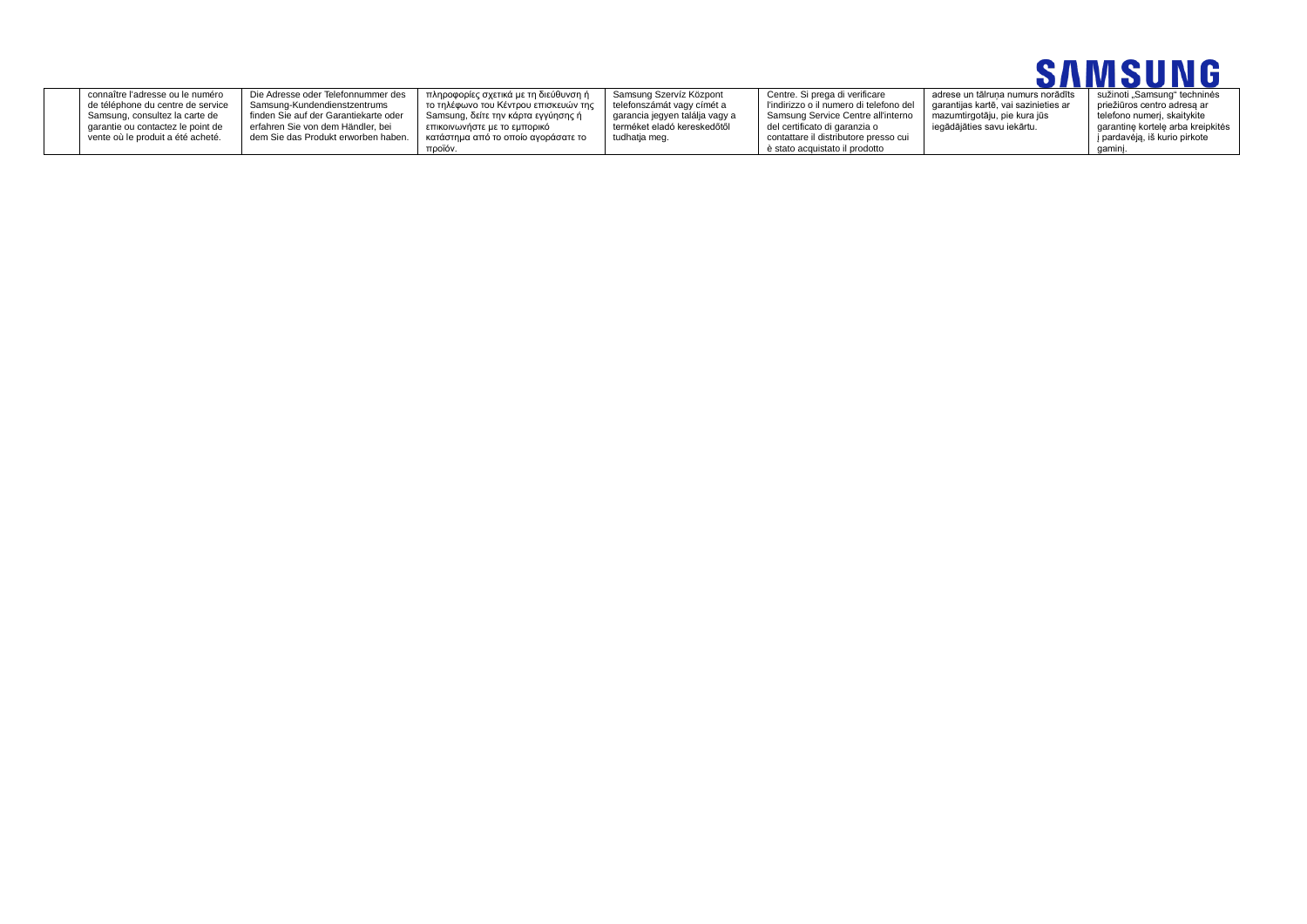

| connaître l'adresse ou le numéro  | Die Adresse oder Telefonnummer des    | πληροφορίες σχετικά με τη διεύθυνση ή | Samsung Szervíz Központ        | Centre. Si prega di verificare          | adrese un tālruna numurs norādīts    | sužinoti "Samsung" techninės      |
|-----------------------------------|---------------------------------------|---------------------------------------|--------------------------------|-----------------------------------------|--------------------------------------|-----------------------------------|
| de téléphone du centre de service | Samsung-Kundendienstzentrums          | το τηλέφωνο του Κέντρου επισκευών της | telefonszámát vagy címét a     | l'indirizzo o il numero di telefono del | garantijas kartē, vai sazinieties ar | priežiūros centro adresa ar       |
| Samsung, consultez la carte de    | finden Sie auf der Garantiekarte oder | Samsung, δείτε την κάρτα εγγύησης ή   | garancia jegyen találja vagy a | Samsung Service Centre all'interno      | mazumtirgotāju, pie kura jūs         | telefono numeri, skaitvkite       |
| aarantie ou contactez le point de | erfahren Sie von dem Händler, bei     | επικοινωνήστε με το εμπορικό          | terméket eladó kereskedőtől    | del certificato di garanzia o           | iegādājāties savu iekārtu.           | garantine kortele arba kreipkitės |
| vente où le produit a été acheté. | dem Sie das Produkt erworben haben.   | κατάστημα από το οποίο ανοράσατε το   | tudhatja meg.                  | contattare il distributore presso cui   |                                      | j pardavėją, iš kurio pirkote     |
|                                   |                                       | προϊόν.                               |                                | è stato acquistato il prodotto          |                                      | gamını                            |